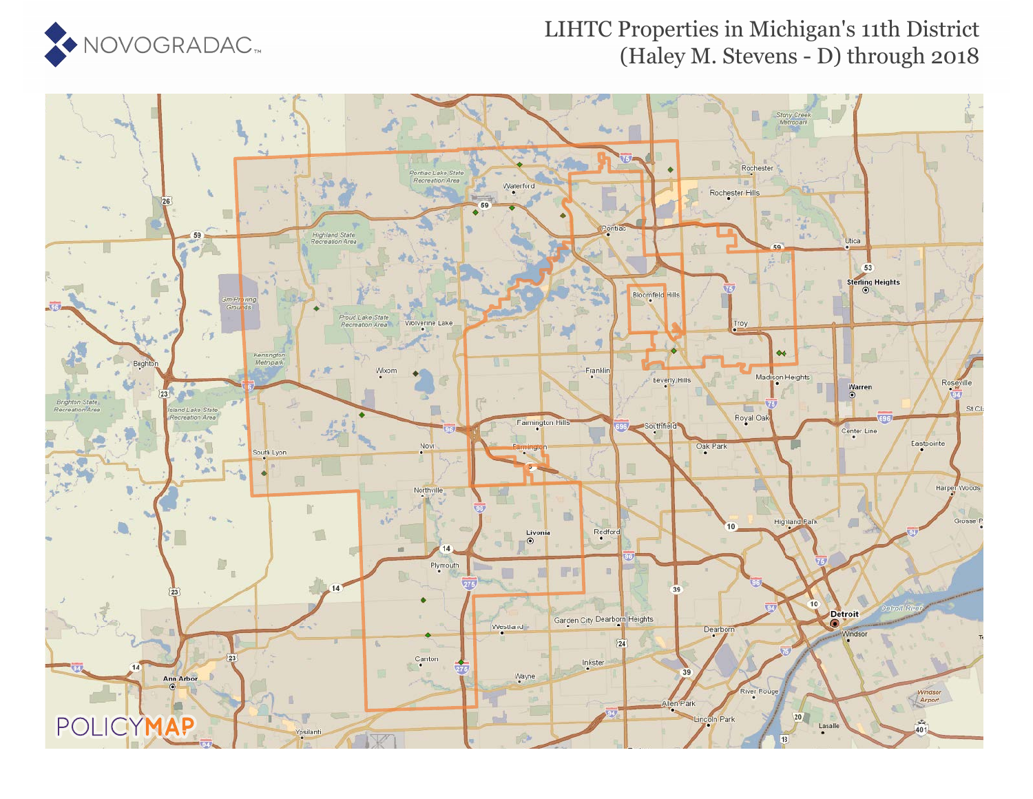

## LIHTC Properties in Michigan's 11th District (Haley M. Stevens - D) through 2018

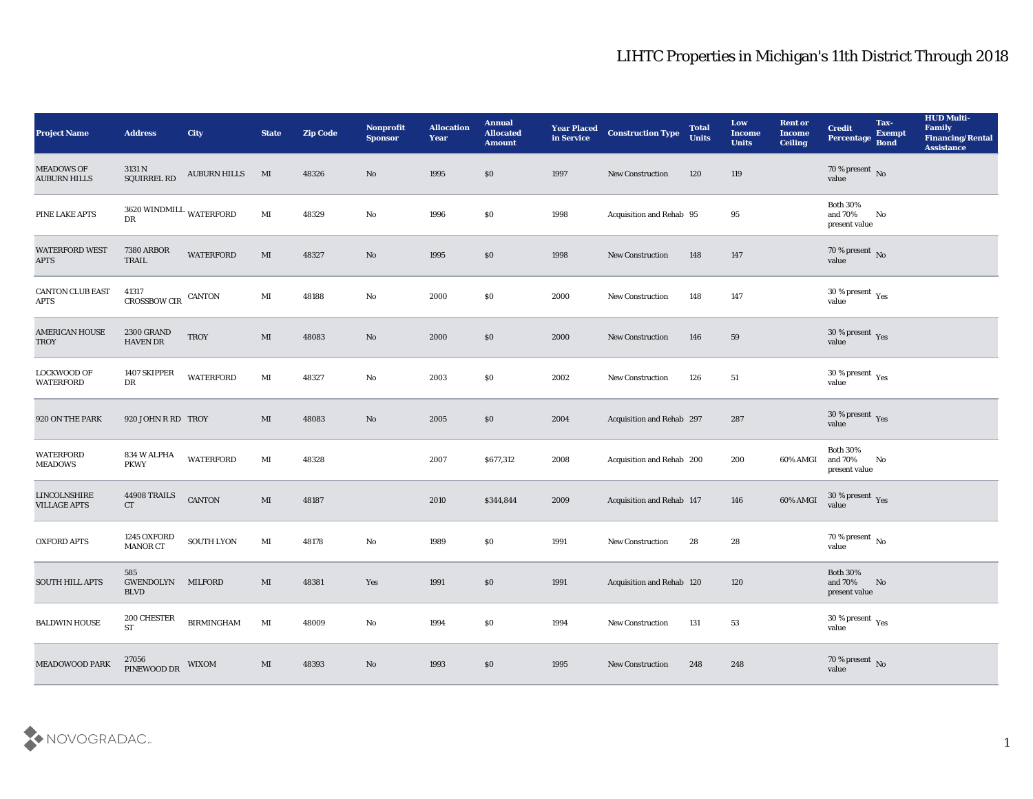## LIHTC Properties in Michigan's 11th District Through 2018

| <b>Project Name</b>                        | <b>Address</b>                         | <b>City</b>         | <b>State</b>           | <b>Zip Code</b> | Nonprofit<br><b>Sponsor</b> | <b>Allocation</b><br><b>Year</b> | <b>Annual</b><br><b>Allocated</b><br><b>Amount</b> | <b>Year Placed</b><br>in Service | <b>Construction Type</b>  | <b>Total</b><br><b>Units</b> | Low<br><b>Income</b><br><b>Units</b> | <b>Rent or</b><br><b>Income</b><br><b>Ceiling</b> | <b>Credit</b><br>Percentage                 | Tax-<br><b>Exempt</b><br><b>Bond</b> | <b>HUD Multi-</b><br>Family<br><b>Financing/Rental</b><br><b>Assistance</b> |
|--------------------------------------------|----------------------------------------|---------------------|------------------------|-----------------|-----------------------------|----------------------------------|----------------------------------------------------|----------------------------------|---------------------------|------------------------------|--------------------------------------|---------------------------------------------------|---------------------------------------------|--------------------------------------|-----------------------------------------------------------------------------|
| <b>MEADOWS OF</b><br><b>AUBURN HILLS</b>   | 3131 N<br>SQUIRREL RD                  | <b>AUBURN HILLS</b> | MI                     | 48326           | No                          | 1995                             | \$0                                                | 1997                             | <b>New Construction</b>   | 120                          | 119                                  |                                                   | $70\,\%$ present $\,$ No value              |                                      |                                                                             |
| PINE LAKE APTS                             | $3620\,$ WINDMILL $\,$ WATERFORD<br>DR |                     | $\mathbf{M}\mathbf{I}$ | 48329           | No                          | 1996                             | \$0                                                | 1998                             | Acquisition and Rehab 95  |                              | 95                                   |                                                   | <b>Both 30%</b><br>and 70%<br>present value | No                                   |                                                                             |
| WATERFORD WEST<br><b>APTS</b>              | <b>7380 ARBOR</b><br><b>TRAIL</b>      | <b>WATERFORD</b>    | MI                     | 48327           | No                          | 1995                             | \$0                                                | 1998                             | New Construction          | 148                          | 147                                  |                                                   | $70\,\%$ present $\,$ No value              |                                      |                                                                             |
| <b>CANTON CLUB EAST</b><br><b>APTS</b>     | 41317<br><b>CROSSBOW CIR</b>           | <b>CANTON</b>       | $\mathbf{M}$ I         | 48188           | $\mathbf{N}\mathbf{o}$      | 2000                             | \$0                                                | 2000                             | New Construction          | 148                          | 147                                  |                                                   | $30\,\%$ present $\,$ Yes value             |                                      |                                                                             |
| <b>AMERICAN HOUSE</b><br><b>TROY</b>       | <b>2300 GRAND</b><br><b>HAVEN DR</b>   | <b>TROY</b>         | MI                     | 48083           | No                          | 2000                             | \$0                                                | 2000                             | <b>New Construction</b>   | 146                          | 59                                   |                                                   | $30\,\%$ present $\,$ Yes value             |                                      |                                                                             |
| LOCKWOOD OF<br><b>WATERFORD</b>            | 1407 SKIPPER<br>DR                     | <b>WATERFORD</b>    | $\mathbf{M}\mathbf{I}$ | 48327           | No                          | 2003                             | \$0                                                | 2002                             | <b>New Construction</b>   | 126                          | 51                                   |                                                   | $30\,\%$ present $\,$ Yes value             |                                      |                                                                             |
| 920 ON THE PARK                            | 920 JOHN R RD TROY                     |                     | MI                     | 48083           | No                          | 2005                             | \$0                                                | 2004                             | Acquisition and Rehab 297 |                              | 287                                  |                                                   | $30\,\%$ present $\,$ Yes value             |                                      |                                                                             |
| <b>WATERFORD</b><br><b>MEADOWS</b>         | 834 W ALPHA<br><b>PKWY</b>             | <b>WATERFORD</b>    | MI                     | 48328           |                             | 2007                             | \$677,312                                          | 2008                             | Acquisition and Rehab 200 |                              | 200                                  | 60% AMGI                                          | <b>Both 30%</b><br>and 70%<br>present value | No                                   |                                                                             |
| <b>LINCOLNSHIRE</b><br><b>VILLAGE APTS</b> | 44908 TRAILS<br>CT                     | <b>CANTON</b>       | MI                     | 48187           |                             | 2010                             | \$344,844                                          | 2009                             | Acquisition and Rehab 147 |                              | 146                                  | 60% AMGI                                          | $30\,\%$ present $\,$ Yes value             |                                      |                                                                             |
| <b>OXFORD APTS</b>                         | 1245 OXFORD<br><b>MANOR CT</b>         | SOUTH LYON          | MI                     | 48178           | $\mathbf{N}\mathbf{o}$      | 1989                             | \$0                                                | 1991                             | <b>New Construction</b>   | 28                           | 28                                   |                                                   | $70\,\%$ present $\,$ No value              |                                      |                                                                             |
| <b>SOUTH HILL APTS</b>                     | 585<br>GWENDOLYN<br><b>BLVD</b>        | <b>MILFORD</b>      | MI                     | 48381           | Yes                         | 1991                             | \$0                                                | 1991                             | Acquisition and Rehab 120 |                              | 120                                  |                                                   | <b>Both 30%</b><br>and 70%<br>present value | No                                   |                                                                             |
| <b>BALDWIN HOUSE</b>                       | 200 CHESTER<br><b>ST</b>               | <b>BIRMINGHAM</b>   | $\mathbf{M}\mathbf{I}$ | 48009           | $\mathbf {No}$              | 1994                             | $\$0$                                              | 1994                             | New Construction          | 131                          | $53\,$                               |                                                   | $30\,\%$ present $\,$ Yes value             |                                      |                                                                             |
| MEADOWOOD PARK                             | 27056<br>PINEWOOD DR                   | WIXOM               | $\mathbf{M}\mathbf{I}$ | 48393           | $\rm \bf No$                | 1993                             | \$0                                                | 1995                             | New Construction          | 248                          | 248                                  |                                                   | $70\,\%$ present $\,$ No value              |                                      |                                                                             |